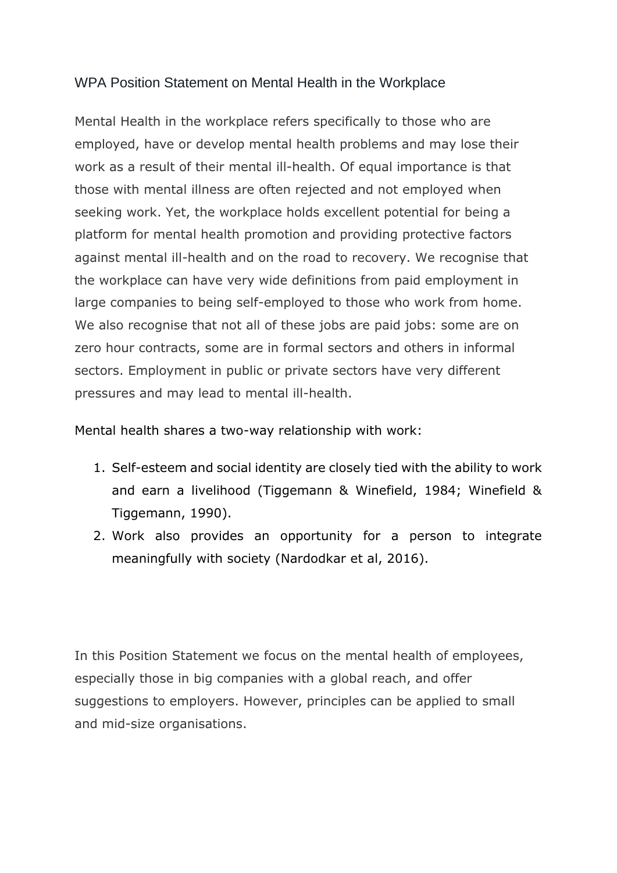## WPA Position Statement on Mental Health in the Workplace

Mental Health in the workplace refers specifically to those who are employed, have or develop mental health problems and may lose their work as a result of their mental ill-health. Of equal importance is that those with mental illness are often rejected and not employed when seeking work. Yet, the workplace holds excellent potential for being a platform for mental health promotion and providing protective factors against mental ill-health and on the road to recovery. We recognise that the workplace can have very wide definitions from paid employment in large companies to being self-employed to those who work from home. We also recognise that not all of these jobs are paid jobs: some are on zero hour contracts, some are in formal sectors and others in informal sectors. Employment in public or private sectors have very different pressures and may lead to mental ill-health.

## Mental health shares a two-way relationship with work:

- 1. Self-esteem and social identity are closely tied with the ability to work and earn a livelihood (Tiggemann & Winefield, 1984; Winefield & Tiggemann, 1990).
- 2. Work also provides an opportunity for a person to integrate meaningfully with society (Nardodkar et al, 2016).

In this Position Statement we focus on the mental health of employees, especially those in big companies with a global reach, and offer suggestions to employers. However, principles can be applied to small and mid-size organisations.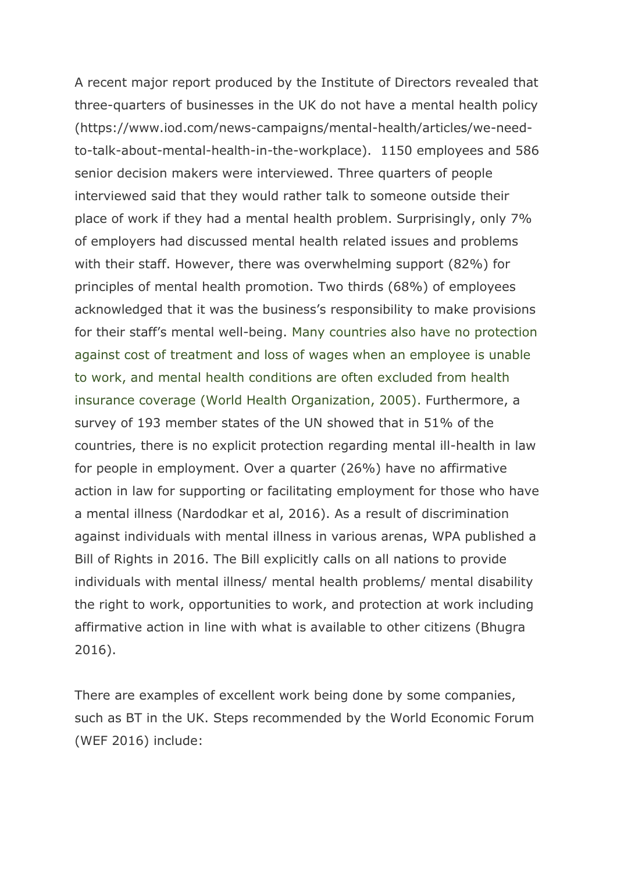A recent major report produced by the Institute of Directors revealed that three-quarters of businesses in the UK do not have a mental health policy (https://www.iod.com/news-campaigns/mental-health/articles/we-needto-talk-about-mental-health-in-the-workplace). 1150 employees and 586 senior decision makers were interviewed. Three quarters of people interviewed said that they would rather talk to someone outside their place of work if they had a mental health problem. Surprisingly, only 7% of employers had discussed mental health related issues and problems with their staff. However, there was overwhelming support (82%) for principles of mental health promotion. Two thirds (68%) of employees acknowledged that it was the business's responsibility to make provisions for their staff's mental well-being. Many countries also have no protection against cost of treatment and loss of wages when an employee is unable to work, and mental health conditions are often excluded from health insurance coverage (World Health Organization, 2005). Furthermore, a survey of 193 member states of the UN showed that in 51% of the countries, there is no explicit protection regarding mental ill-health in law for people in employment. Over a quarter (26%) have no affirmative action in law for supporting or facilitating employment for those who have a mental illness (Nardodkar et al, 2016). As a result of discrimination against individuals with mental illness in various arenas, WPA published a Bill of Rights in 2016. The Bill explicitly calls on all nations to provide individuals with mental illness/ mental health problems/ mental disability the right to work, opportunities to work, and protection at work including affirmative action in line with what is available to other citizens (Bhugra 2016).

There are examples of excellent work being done by some companies, such as BT in the UK. Steps recommended by the World Economic Forum (WEF 2016) include: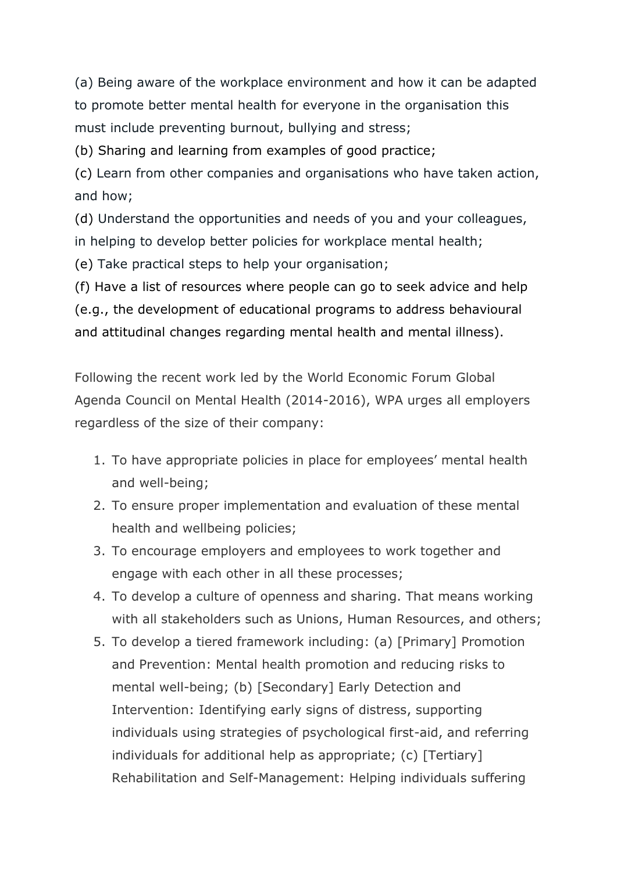(a) Being aware of the workplace environment and how it can be adapted to promote better mental health for everyone in the organisation this must include preventing burnout, bullying and stress;

[\(b\)](https://www.mqmentalhealth.org/articles/global-agenda-council-mental-health-action-2) Sharing and learning from examples of good practice;

(c) Learn from other companies and organisations who have taken action, and how;

[\(d\)](https://www.mqmentalhealth.org/articles/global-agenda-council-mental-health-action-4) Understand the opportunities and needs of you and your colleagues, in helping to develop better policies for workplace mental health;

[\(e\)](https://www.mqmentalhealth.org/articles/global-agenda-council-mental-health-action-5) Take practical steps to help your organisation;

[\(f\)](https://www.mqmentalhealth.org/articles/global-agenda-council-mental-health-action-6) Have a list of resources where people can go to seek advice and help (e.g., the development of educational programs to address behavioural and attitudinal changes regarding mental health and mental illness).

Following the recent work led by the World Economic Forum Global Agenda Council on Mental Health (2014-2016), WPA urges all employers regardless of the size of their company:

- 1. To have appropriate policies in place for employees' mental health and well-being;
- 2. To ensure proper implementation and evaluation of these mental health and wellbeing policies;
- 3. To encourage employers and employees to work together and engage with each other in all these processes;
- 4. To develop a culture of openness and sharing. That means working with all stakeholders such as Unions, Human Resources, and others;
- 5. To develop a tiered framework including: (a) [Primary] Promotion and Prevention: Mental health promotion and reducing risks to mental well-being; (b) [Secondary] Early Detection and Intervention: Identifying early signs of distress, supporting individuals using strategies of psychological first-aid, and referring individuals for additional help as appropriate; (c) [Tertiary] Rehabilitation and Self-Management: Helping individuals suffering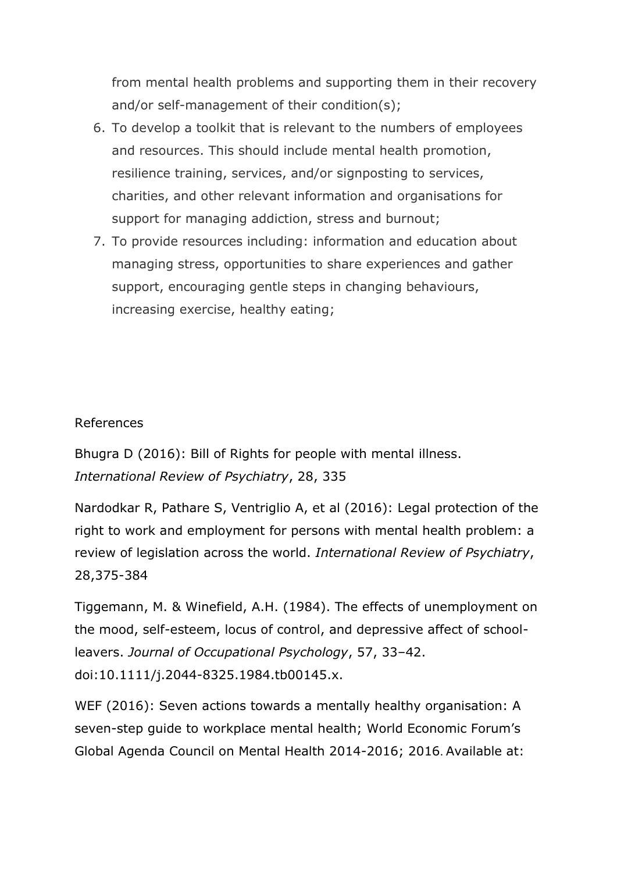from mental health problems and supporting them in their recovery and/or self-management of their condition(s);

- 6. To develop a toolkit that is relevant to the numbers of employees and resources. This should include mental health promotion, resilience training, services, and/or signposting to services, charities, and other relevant information and organisations for support for managing addiction, stress and burnout;
- 7. To provide resources including: information and education about managing stress, opportunities to share experiences and gather support, encouraging gentle steps in changing behaviours, increasing exercise, healthy eating;

## References

Bhugra D (2016): Bill of Rights for people with mental illness. *International Review of Psychiatry*, 28, 335

Nardodkar R, Pathare S, Ventriglio A, et al (2016): Legal protection of the right to work and employment for persons with mental health problem: a review of legislation across the world. *International Review of Psychiatry*, 28,375-384

Tiggemann, M. & Winefield, A.H. (1984). The effects of unemployment on the mood, self-esteem, locus of control, and depressive affect of schoolleavers. *Journal of Occupational Psychology*, 57, 33–42. doi:10.1111/j.2044-8325.1984.tb00145.x.

WEF (2016): Seven actions towards a mentally healthy organisation: A seven-step guide to workplace mental health; World Economic Forum's Global Agenda Council on Mental Health 2014-2016; 2016. Available at: